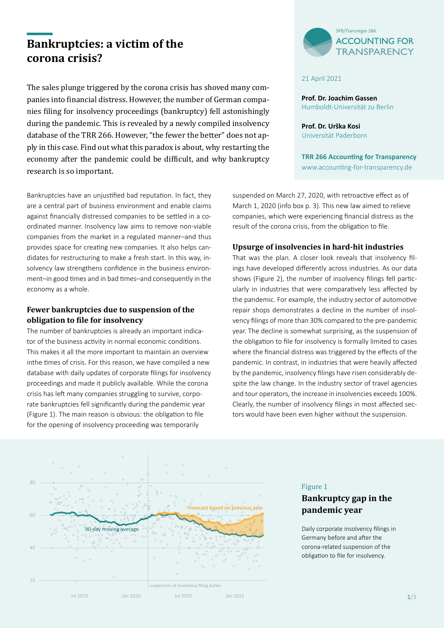# **Bankruptcies: a victim of the corona crisis?**

The sales plunge triggered by the corona crisis has shoved many companies into financial distress. However, the number of German companies filing for insolvency proceedings (bankruptcy) fell astonishingly during the pandemic. This is revealed by a newly compiled insolvency database of the TRR 266. However, "the fewer the better" does not apply in this case. Find out what this paradox is about, why restarting the economy after the pandemic could be difficult, and why bankruptcy research is so important.

Bankruptcies have an unjustified bad reputation. In fact, they are a central part of business environment and enable claims against financially distressed companies to be settled in a coordinated manner. Insolvency law aims to remove non-viable companies from the market in a regulated manner–and thus provides space for creating new companies. It also helps candidates for restructuring to make a fresh start. In this way, insolvency law strengthens confidence in the business environment–in good times and in bad times–and consequently in the economy as a whole.

### **Fewer bankruptcies due to suspension of the obligation to file for insolvency**

The number of bankruptcies is already an important indicator of the business activity in normal economic conditions. This makes it all the more important to maintain an overview inthe times of crisis. For this reason, we have compiled a new database with daily updates of corporate filings for insolvency proceedings and made it publicly available. While the corona crisis has left many companies struggling to survive, corporate bankruptcies fell significantly during the pandemic year (Figure 1). The main reason is obvious: the obligation to file for the opening of insolvency proceeding was temporarily



#### 21 April 2021

**Prof. Dr. Joachim Gassen** Humboldt-Universität zu Berlin

**Prof. Dr. Urška Kosi** Universität Paderborn

**TRR 266 Accounting for Transparency**  [www.accounting-for-transparency.de](http://www.accounting-for-transparency.de)

suspended on March 27, 2020, with retroactive effect as of March 1, 2020 (info box p. 3). This new law aimed to relieve companies, which were experiencing financial distress as the result of the corona crisis, from the obligation to file.

### **Upsurge of insolvencies in hard-hit industries**

That was the plan. A closer look reveals that insolvency filings have developed differently across industries. As our data shows (Figure 2), the number of insolvency filings fell particularly in industries that were comparatively less affected by the pandemic. For example, the industry sector of automotive repair shops demonstrates a decline in the number of insolvency filings of more than 30% compared to the pre-pandemic year. The decline is somewhat surprising, as the suspension of the obligation to file for insolvency is formally limited to cases where the financial distress was triggered by the effects of the pandemic. In contrast, in industries that were heavily affected by the pandemic, insolvency filings have risen considerably despite the law change. In the industry sector of travel agencies and tour operators, the increase in insolvencies exceeds 100%. Clearly, the number of insolvency filings in most affected sectors would have been even higher without the suspension.



#### Figure 1

### **Bankruptcy gap in the pandemic year**

Daily corporate insolvency filings in Germany before and after the corona-related suspension of the obligation to file for insolvency.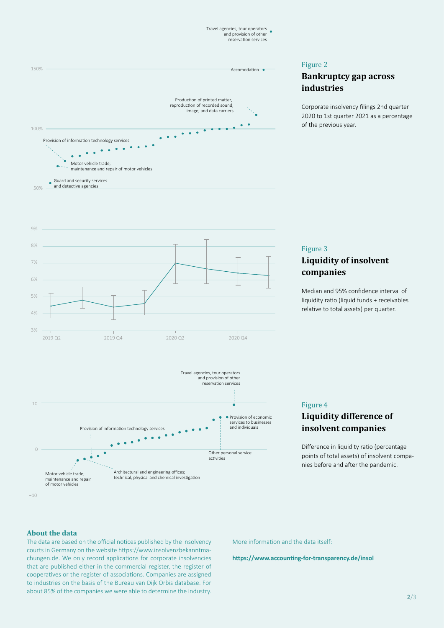Travel agencies, tour operators and provision of other reservation services



#### Figure 2

### **Bankruptcy gap across industries**

Corporate insolvency filings 2nd quarter 2020 to 1st quarter 2021 as a percentage of the previous year.



Architectural and engineering offices; technical, physical and chemical investigation

### Figure 3 **Liquidity of insolvent companies**

Median and 95% confidence interval of liquidity ratio (liquid funds + receivables relative to total assets) per quarter.



## **Liquidity difference of insolvent companies**

Difference in liquidity ratio (percentage points of total assets) of insolvent companies before and after the pandemic.

### **About the data**

−10

Motor vehicle trade; maintenance and repair of motor vehicles

The data are based on the official notices published by the insolvency courts in Germany on the website [https://www.insolvenzbekanntma](https://www.insolvenzbekanntmachungen.de.)[chungen.de.](https://www.insolvenzbekanntmachungen.de.) We only record applications for corporate insolvencies that are published either in the commercial register, the register of cooperatives or the register of associations. Companies are assigned to industries on the basis of the Bureau van Dijk Orbis database. For about 85% of the companies we were able to determine the industry.

Provision of information technology services

Ċ  $\overline{a}$ 

 $\bullet$  $\bullet$   $\bullet$   $\bullet$ 

More information and the data itself:

Other personal service activities

**• Provision of economic** services to businesses and individuals

**<https://www.accounting-for-transparency.de/insol>**